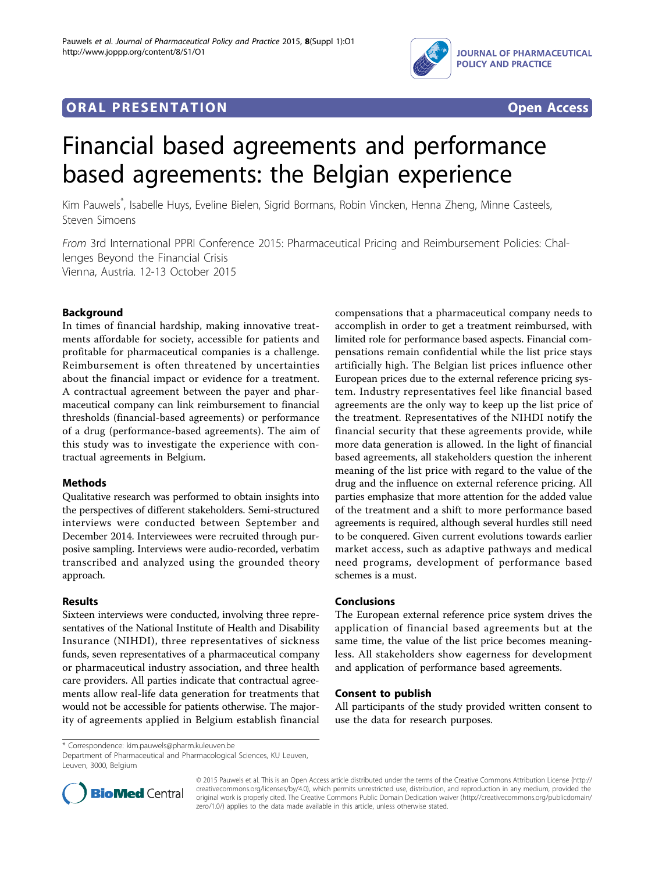

# **ORAL PRESENTATION CONSUMING A LIGAN CONSUMING A LIGAN CONSUMING A LIGAN CONSUMING A LIGAN CONSUMING A LIGAN CONSUMING A LIGAN CONSUMING A LIGAN CONSUMING A LIGAN CONSUMING A LIGAN CONSUMING A LIGAN CONSUMING A LIGAN CON**



# Financial based agreements and performance based agreements: the Belgian experience

Kim Pauwels\* , Isabelle Huys, Eveline Bielen, Sigrid Bormans, Robin Vincken, Henna Zheng, Minne Casteels, Steven Simoens

From 3rd International PPRI Conference 2015: Pharmaceutical Pricing and Reimbursement Policies: Challenges Beyond the Financial Crisis Vienna, Austria. 12-13 October 2015

## Background

In times of financial hardship, making innovative treatments affordable for society, accessible for patients and profitable for pharmaceutical companies is a challenge. Reimbursement is often threatened by uncertainties about the financial impact or evidence for a treatment. A contractual agreement between the payer and pharmaceutical company can link reimbursement to financial thresholds (financial-based agreements) or performance of a drug (performance-based agreements). The aim of this study was to investigate the experience with contractual agreements in Belgium.

#### Methods

Qualitative research was performed to obtain insights into the perspectives of different stakeholders. Semi-structured interviews were conducted between September and December 2014. Interviewees were recruited through purposive sampling. Interviews were audio-recorded, verbatim transcribed and analyzed using the grounded theory approach.

#### Results

Sixteen interviews were conducted, involving three representatives of the National Institute of Health and Disability Insurance (NIHDI), three representatives of sickness funds, seven representatives of a pharmaceutical company or pharmaceutical industry association, and three health care providers. All parties indicate that contractual agreements allow real-life data generation for treatments that would not be accessible for patients otherwise. The majority of agreements applied in Belgium establish financial

compensations that a pharmaceutical company needs to accomplish in order to get a treatment reimbursed, with limited role for performance based aspects. Financial compensations remain confidential while the list price stays artificially high. The Belgian list prices influence other European prices due to the external reference pricing system. Industry representatives feel like financial based agreements are the only way to keep up the list price of the treatment. Representatives of the NIHDI notify the financial security that these agreements provide, while more data generation is allowed. In the light of financial based agreements, all stakeholders question the inherent meaning of the list price with regard to the value of the drug and the influence on external reference pricing. All parties emphasize that more attention for the added value of the treatment and a shift to more performance based agreements is required, although several hurdles still need to be conquered. Given current evolutions towards earlier market access, such as adaptive pathways and medical need programs, development of performance based schemes is a must.

## Conclusions

The European external reference price system drives the application of financial based agreements but at the same time, the value of the list price becomes meaningless. All stakeholders show eagerness for development and application of performance based agreements.

#### Consent to publish

All participants of the study provided written consent to use the data for research purposes.

Department of Pharmaceutical and Pharmacological Sciences, KU Leuven, Leuven, 3000, Belgium



© 2015 Pauwels et al. This is an Open Access article distributed under the terms of the Creative Commons Attribution License [\(http://](http://creativecommons.org/licenses/by/4.0) [creativecommons.org/licenses/by/4.0](http://creativecommons.org/licenses/by/4.0)), which permits unrestricted use, distribution, and reproduction in any medium, provided the original work is properly cited. The Creative Commons Public Domain Dedication waiver ([http://creativecommons.org/publicdomain/](http://creativecommons.org/publicdomain/zero/1.0/) [zero/1.0/](http://creativecommons.org/publicdomain/zero/1.0/)) applies to the data made available in this article, unless otherwise stated.

<sup>\*</sup> Correspondence: [kim.pauwels@pharm.kuleuven.be](mailto:kim.pauwels@pharm.kuleuven.be)